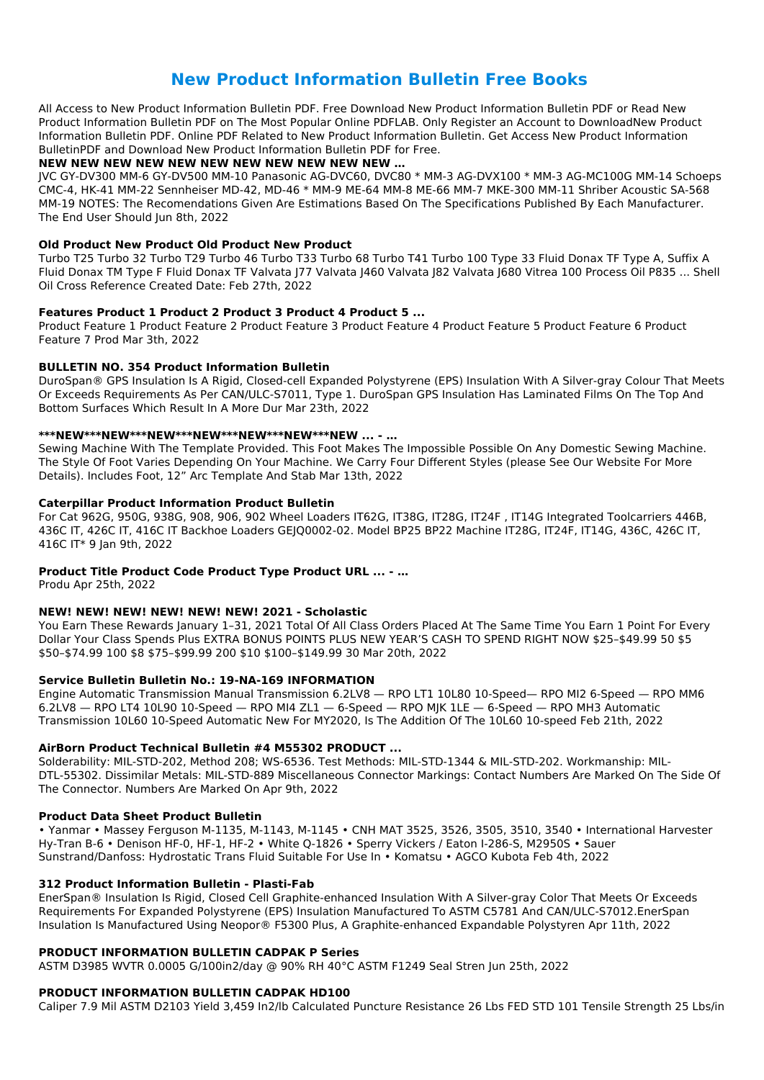# **New Product Information Bulletin Free Books**

All Access to New Product Information Bulletin PDF. Free Download New Product Information Bulletin PDF or Read New Product Information Bulletin PDF on The Most Popular Online PDFLAB. Only Register an Account to DownloadNew Product Information Bulletin PDF. Online PDF Related to New Product Information Bulletin. Get Access New Product Information BulletinPDF and Download New Product Information Bulletin PDF for Free.

## **NEW NEW NEW NEW NEW NEW NEW NEW NEW NEW NEW …**

JVC GY-DV300 MM-6 GY-DV500 MM-10 Panasonic AG-DVC60, DVC80 \* MM-3 AG-DVX100 \* MM-3 AG-MC100G MM-14 Schoeps CMC-4, HK-41 MM-22 Sennheiser MD-42, MD-46 \* MM-9 ME-64 MM-8 ME-66 MM-7 MKE-300 MM-11 Shriber Acoustic SA-568 MM-19 NOTES: The Recomendations Given Are Estimations Based On The Specifications Published By Each Manufacturer. The End User Should Jun 8th, 2022

## **Old Product New Product Old Product New Product**

Turbo T25 Turbo 32 Turbo T29 Turbo 46 Turbo T33 Turbo 68 Turbo T41 Turbo 100 Type 33 Fluid Donax TF Type A, Suffix A Fluid Donax TM Type F Fluid Donax TF Valvata J77 Valvata J460 Valvata J82 Valvata J680 Vitrea 100 Process Oil P835 ... Shell Oil Cross Reference Created Date: Feb 27th, 2022

## **Features Product 1 Product 2 Product 3 Product 4 Product 5 ...**

Product Feature 1 Product Feature 2 Product Feature 3 Product Feature 4 Product Feature 5 Product Feature 6 Product Feature 7 Prod Mar 3th, 2022

You Earn These Rewards January 1-31, 2021 Total Of All Class Orders Placed At The Same Time You Earn 1 Point For Every Dollar Your Class Spends Plus EXTRA BONUS POINTS PLUS NEW YEAR'S CASH TO SPEND RIGHT NOW \$25–\$49.99 50 \$5 \$50–\$74.99 100 \$8 \$75–\$99.99 200 \$10 \$100–\$149.99 30 Mar 20th, 2022

## **BULLETIN NO. 354 Product Information Bulletin**

DuroSpan® GPS Insulation Is A Rigid, Closed-cell Expanded Polystyrene (EPS) Insulation With A Silver-gray Colour That Meets Or Exceeds Requirements As Per CAN/ULC-S7011, Type 1. DuroSpan GPS Insulation Has Laminated Films On The Top And Bottom Surfaces Which Result In A More Dur Mar 23th, 2022

## **\*\*\*NEW\*\*\*NEW\*\*\*NEW\*\*\*NEW\*\*\*NEW\*\*\*NEW\*\*\*NEW ... - …**

Sewing Machine With The Template Provided. This Foot Makes The Impossible Possible On Any Domestic Sewing Machine. The Style Of Foot Varies Depending On Your Machine. We Carry Four Different Styles (please See Our Website For More Details). Includes Foot, 12" Arc Template And Stab Mar 13th, 2022

## **Caterpillar Product Information Product Bulletin**

For Cat 962G, 950G, 938G, 908, 906, 902 Wheel Loaders IT62G, IT38G, IT28G, IT24F , IT14G Integrated Toolcarriers 446B, 436C IT, 426C IT, 416C IT Backhoe Loaders GEJQ0002-02. Model BP25 BP22 Machine IT28G, IT24F, IT14G, 436C, 426C IT, 416C IT\* 9 Jan 9th, 2022

## **Product Title Product Code Product Type Product URL ... - …**

Produ Apr 25th, 2022

## **NEW! NEW! NEW! NEW! NEW! NEW! 2021 - Scholastic**

## **Service Bulletin Bulletin No.: 19-NA-169 INFORMATION**

Engine Automatic Transmission Manual Transmission 6.2LV8 — RPO LT1 10L80 10-Speed— RPO MI2 6-Speed — RPO MM6 6.2LV8 — RPO LT4 10L90 10-Speed — RPO MI4 ZL1 — 6-Speed — RPO MJK 1LE — 6-Speed — RPO MH3 Automatic Transmission 10L60 10-Speed Automatic New For MY2020, Is The Addition Of The 10L60 10-speed Feb 21th, 2022

## **AirBorn Product Technical Bulletin #4 M55302 PRODUCT ...**

Solderability: MIL-STD-202, Method 208; WS-6536. Test Methods: MIL-STD-1344 & MIL-STD-202. Workmanship: MIL-DTL-55302. Dissimilar Metals: MIL-STD-889 Miscellaneous Connector Markings: Contact Numbers Are Marked On The Side Of The Connector. Numbers Are Marked On Apr 9th, 2022

#### **Product Data Sheet Product Bulletin**

• Yanmar • Massey Ferguson M-1135, M-1143, M-1145 • CNH MAT 3525, 3526, 3505, 3510, 3540 • International Harvester Hy-Tran B-6 • Denison HF-0, HF-1, HF-2 • White Q-1826 • Sperry Vickers / Eaton I-286-S, M2950S • Sauer Sunstrand/Danfoss: Hydrostatic Trans Fluid Suitable For Use In • Komatsu • AGCO Kubota Feb 4th, 2022

#### **312 Product Information Bulletin - Plasti-Fab**

EnerSpan® Insulation Is Rigid, Closed Cell Graphite-enhanced Insulation With A Silver-gray Color That Meets Or Exceeds Requirements For Expanded Polystyrene (EPS) Insulation Manufactured To ASTM C5781 And CAN/ULC-S7012.EnerSpan Insulation Is Manufactured Using Neopor® F5300 Plus, A Graphite-enhanced Expandable Polystyren Apr 11th, 2022

#### **PRODUCT INFORMATION BULLETIN CADPAK P Series**

ASTM D3985 WVTR 0.0005 G/100in2/day @ 90% RH 40°C ASTM F1249 Seal Stren Jun 25th, 2022

### **PRODUCT INFORMATION BULLETIN CADPAK HD100**

Caliper 7.9 Mil ASTM D2103 Yield 3,459 In2/lb Calculated Puncture Resistance 26 Lbs FED STD 101 Tensile Strength 25 Lbs/in